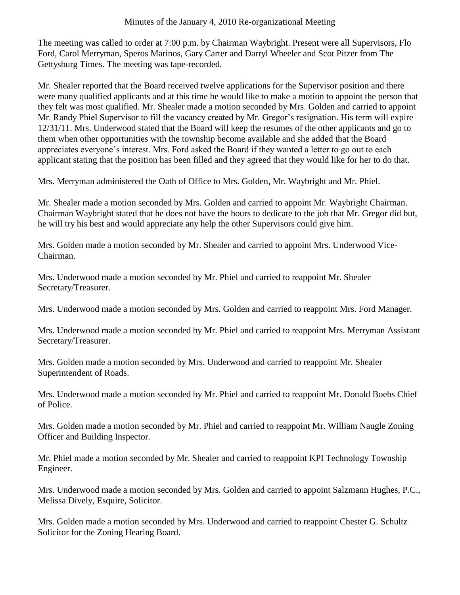The meeting was called to order at 7:00 p.m. by Chairman Waybright. Present were all Supervisors, Flo Ford, Carol Merryman, Speros Marinos, Gary Carter and Darryl Wheeler and Scot Pitzer from The Gettysburg Times. The meeting was tape-recorded.

Mr. Shealer reported that the Board received twelve applications for the Supervisor position and there were many qualified applicants and at this time he would like to make a motion to appoint the person that they felt was most qualified. Mr. Shealer made a motion seconded by Mrs. Golden and carried to appoint Mr. Randy Phiel Supervisor to fill the vacancy created by Mr. Gregor's resignation. His term will expire 12/31/11. Mrs. Underwood stated that the Board will keep the resumes of the other applicants and go to them when other opportunities with the township become available and she added that the Board appreciates everyone's interest. Mrs. Ford asked the Board if they wanted a letter to go out to each applicant stating that the position has been filled and they agreed that they would like for her to do that.

Mrs. Merryman administered the Oath of Office to Mrs. Golden, Mr. Waybright and Mr. Phiel.

Mr. Shealer made a motion seconded by Mrs. Golden and carried to appoint Mr. Waybright Chairman. Chairman Waybright stated that he does not have the hours to dedicate to the job that Mr. Gregor did but, he will try his best and would appreciate any help the other Supervisors could give him.

Mrs. Golden made a motion seconded by Mr. Shealer and carried to appoint Mrs. Underwood Vice-Chairman.

Mrs. Underwood made a motion seconded by Mr. Phiel and carried to reappoint Mr. Shealer Secretary/Treasurer.

Mrs. Underwood made a motion seconded by Mrs. Golden and carried to reappoint Mrs. Ford Manager.

Mrs. Underwood made a motion seconded by Mr. Phiel and carried to reappoint Mrs. Merryman Assistant Secretary/Treasurer.

Mrs. Golden made a motion seconded by Mrs. Underwood and carried to reappoint Mr. Shealer Superintendent of Roads.

Mrs. Underwood made a motion seconded by Mr. Phiel and carried to reappoint Mr. Donald Boehs Chief of Police.

Mrs. Golden made a motion seconded by Mr. Phiel and carried to reappoint Mr. William Naugle Zoning Officer and Building Inspector.

Mr. Phiel made a motion seconded by Mr. Shealer and carried to reappoint KPI Technology Township Engineer.

Mrs. Underwood made a motion seconded by Mrs. Golden and carried to appoint Salzmann Hughes, P.C., Melissa Dively, Esquire, Solicitor.

Mrs. Golden made a motion seconded by Mrs. Underwood and carried to reappoint Chester G. Schultz Solicitor for the Zoning Hearing Board.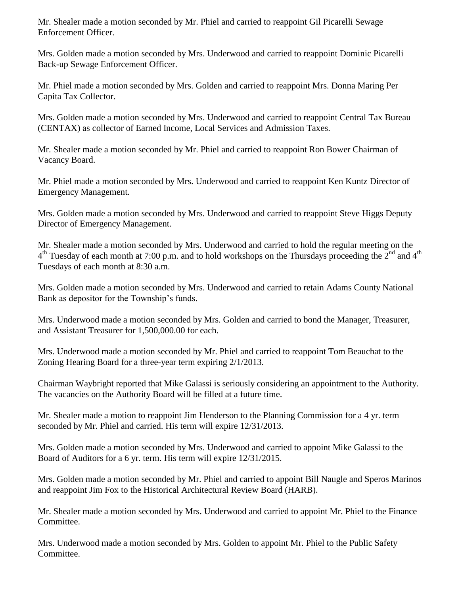Mr. Shealer made a motion seconded by Mr. Phiel and carried to reappoint Gil Picarelli Sewage Enforcement Officer.

Mrs. Golden made a motion seconded by Mrs. Underwood and carried to reappoint Dominic Picarelli Back-up Sewage Enforcement Officer.

Mr. Phiel made a motion seconded by Mrs. Golden and carried to reappoint Mrs. Donna Maring Per Capita Tax Collector.

Mrs. Golden made a motion seconded by Mrs. Underwood and carried to reappoint Central Tax Bureau (CENTAX) as collector of Earned Income, Local Services and Admission Taxes.

Mr. Shealer made a motion seconded by Mr. Phiel and carried to reappoint Ron Bower Chairman of Vacancy Board.

Mr. Phiel made a motion seconded by Mrs. Underwood and carried to reappoint Ken Kuntz Director of Emergency Management.

Mrs. Golden made a motion seconded by Mrs. Underwood and carried to reappoint Steve Higgs Deputy Director of Emergency Management.

Mr. Shealer made a motion seconded by Mrs. Underwood and carried to hold the regular meeting on the  $4<sup>th</sup>$  Tuesday of each month at 7:00 p.m. and to hold workshops on the Thursdays proceeding the  $2<sup>nd</sup>$  and  $4<sup>th</sup>$ Tuesdays of each month at 8:30 a.m.

Mrs. Golden made a motion seconded by Mrs. Underwood and carried to retain Adams County National Bank as depositor for the Township's funds.

Mrs. Underwood made a motion seconded by Mrs. Golden and carried to bond the Manager, Treasurer, and Assistant Treasurer for 1,500,000.00 for each.

Mrs. Underwood made a motion seconded by Mr. Phiel and carried to reappoint Tom Beauchat to the Zoning Hearing Board for a three-year term expiring 2/1/2013.

Chairman Waybright reported that Mike Galassi is seriously considering an appointment to the Authority. The vacancies on the Authority Board will be filled at a future time.

Mr. Shealer made a motion to reappoint Jim Henderson to the Planning Commission for a 4 yr. term seconded by Mr. Phiel and carried. His term will expire 12/31/2013.

Mrs. Golden made a motion seconded by Mrs. Underwood and carried to appoint Mike Galassi to the Board of Auditors for a 6 yr. term. His term will expire 12/31/2015.

Mrs. Golden made a motion seconded by Mr. Phiel and carried to appoint Bill Naugle and Speros Marinos and reappoint Jim Fox to the Historical Architectural Review Board (HARB).

Mr. Shealer made a motion seconded by Mrs. Underwood and carried to appoint Mr. Phiel to the Finance Committee.

Mrs. Underwood made a motion seconded by Mrs. Golden to appoint Mr. Phiel to the Public Safety Committee.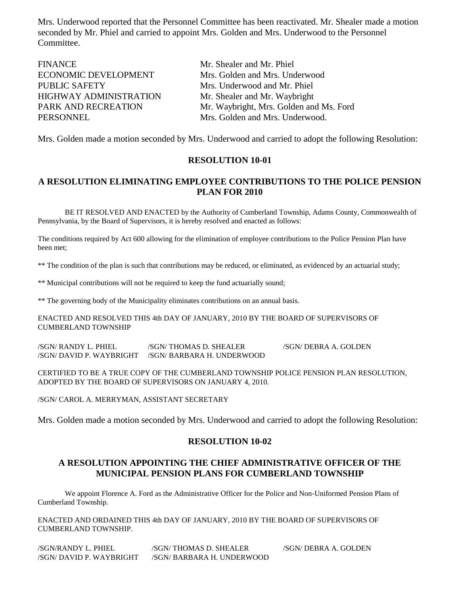Mrs. Underwood reported that the Personnel Committee has been reactivated. Mr. Shealer made a motion seconded by Mr. Phiel and carried to appoint Mrs. Golden and Mrs. Underwood to the Personnel Committee.

| Mr. Shealer and Mr. Phiel               |
|-----------------------------------------|
| Mrs. Golden and Mrs. Underwood          |
| Mrs. Underwood and Mr. Phiel            |
| Mr. Shealer and Mr. Waybright           |
| Mr. Waybright, Mrs. Golden and Ms. Ford |
| Mrs. Golden and Mrs. Underwood.         |
|                                         |

Mrs. Golden made a motion seconded by Mrs. Underwood and carried to adopt the following Resolution:

## **RESOLUTION 10-01**

# **A RESOLUTION ELIMINATING EMPLOYEE CONTRIBUTIONS TO THE POLICE PENSION PLAN FOR 2010**

BE IT RESOLVED AND ENACTED by the Authority of Cumberland Township, Adams County, Commonwealth of Pennsylvania, by the Board of Supervisors, it is hereby resolved and enacted as follows:

The conditions required by Act 600 allowing for the elimination of employee contributions to the Police Pension Plan have been met;

\*\* The condition of the plan is such that contributions may be reduced, or eliminated, as evidenced by an actuarial study;

\*\* Municipal contributions will not be required to keep the fund actuarially sound;

\*\* The governing body of the Municipality eliminates contributions on an annual basis.

ENACTED AND RESOLVED THIS 4th DAY OF JANUARY, 2010 BY THE BOARD OF SUPERVISORS OF CUMBERLAND TOWNSHIP

/SGN/ RANDY L. PHIEL /SGN/ THOMAS D. SHEALER /SGN/ DEBRA A. GOLDEN /SGN/ DAVID P. WAYBRIGHT /SGN/ BARBARA H. UNDERWOOD

CERTIFIED TO BE A TRUE COPY OF THE CUMBERLAND TOWNSHIP POLICE PENSION PLAN RESOLUTION, ADOPTED BY THE BOARD OF SUPERVISORS ON JANUARY 4, 2010.

/SGN/ CAROL A. MERRYMAN, ASSISTANT SECRETARY

Mrs. Golden made a motion seconded by Mrs. Underwood and carried to adopt the following Resolution:

## **RESOLUTION 10-02**

## **A RESOLUTION APPOINTING THE CHIEF ADMINISTRATIVE OFFICER OF THE MUNICIPAL PENSION PLANS FOR CUMBERLAND TOWNSHIP**

We appoint Florence A. Ford as the Administrative Officer for the Police and Non-Uniformed Pension Plans of Cumberland Township.

ENACTED AND ORDAINED THIS 4th DAY OF JANUARY, 2010 BY THE BOARD OF SUPERVISORS OF CUMBERLAND TOWNSHIP.

| /SGN/RANDY L. PHIEL      | /SGN/THOMAS D. SHEALER     | /SGN/DEBRA A. GOLDEN |
|--------------------------|----------------------------|----------------------|
| /SGN/ DAVID P. WAYBRIGHT | /SGN/ BARBARA H. UNDERWOOD |                      |